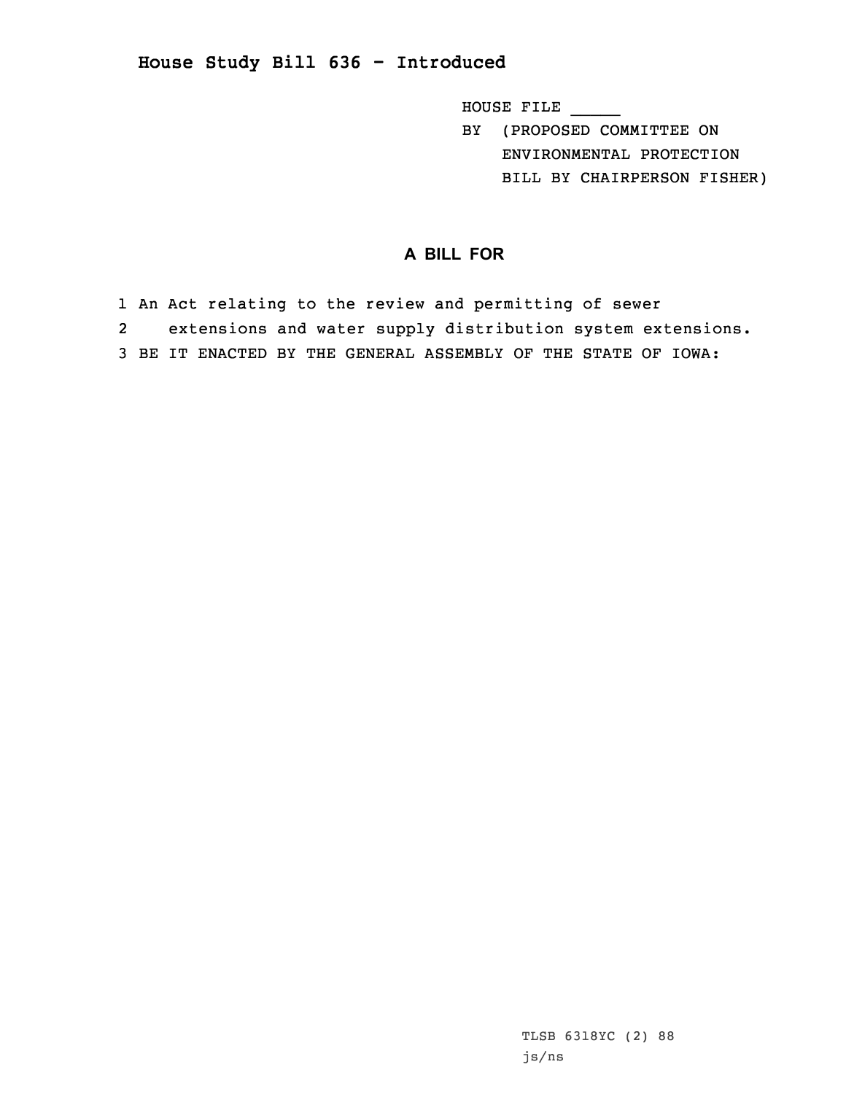## **House Study Bill 636 - Introduced**

HOUSE FILE \_\_\_\_\_

BY (PROPOSED COMMITTEE ON ENVIRONMENTAL PROTECTION BILL BY CHAIRPERSON FISHER)

## **A BILL FOR**

- 1 An Act relating to the review and permitting of sewer
- 2extensions and water supply distribution system extensions.
- 3 BE IT ENACTED BY THE GENERAL ASSEMBLY OF THE STATE OF IOWA: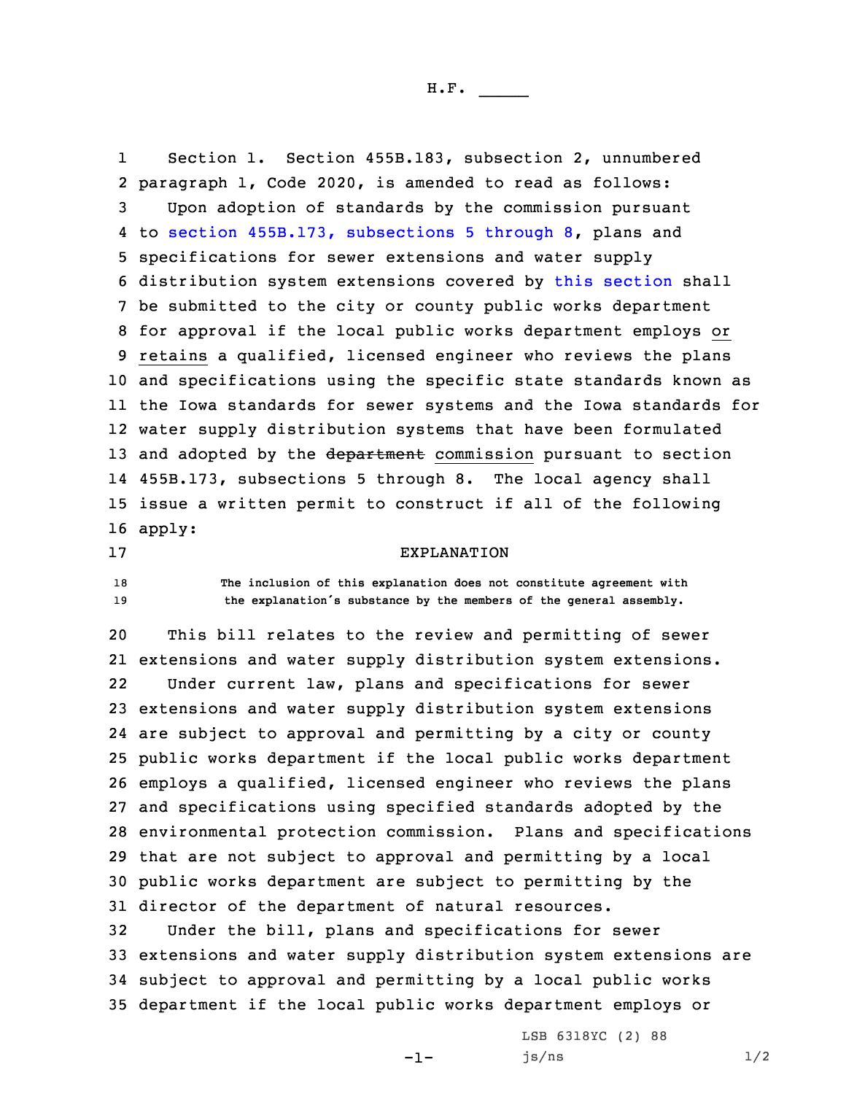H.F. \_\_\_\_\_

1 Section 1. Section 455B.183, subsection 2, unnumbered paragraph 1, Code 2020, is amended to read as follows: Upon adoption of standards by the commission pursuant to section 455B.173, [subsections](https://www.legis.iowa.gov/docs/code/2020/455B.173.pdf) 5 through 8, plans and specifications for sewer extensions and water supply distribution system extensions covered by this [section](https://www.legis.iowa.gov/docs/code/2020/455B.183.pdf) shall be submitted to the city or county public works department for approval if the local public works department employs or retains <sup>a</sup> qualified, licensed engineer who reviews the plans and specifications using the specific state standards known as the Iowa standards for sewer systems and the Iowa standards for water supply distribution systems that have been formulated 13 and adopted by the department commission pursuant to section 455B.173, subsections 5 through 8. The local agency shall issue <sup>a</sup> written permit to construct if all of the following 16 apply:

17 EXPLANATION

18 **The inclusion of this explanation does not constitute agreement with** <sup>19</sup> **the explanation's substance by the members of the general assembly.**

 This bill relates to the review and permitting of sewer extensions and water supply distribution system extensions. 22 Under current law, plans and specifications for sewer extensions and water supply distribution system extensions are subject to approval and permitting by <sup>a</sup> city or county public works department if the local public works department employs <sup>a</sup> qualified, licensed engineer who reviews the plans and specifications using specified standards adopted by the environmental protection commission. Plans and specifications that are not subject to approval and permitting by <sup>a</sup> local public works department are subject to permitting by the director of the department of natural resources. Under the bill, plans and specifications for sewer

33 extensions and water supply distribution system extensions are 34 subject to approval and permitting by <sup>a</sup> local public works 35 department if the local public works department employs or

-1-

LSB 6318YC (2) 88  $js/ns$   $1/2$